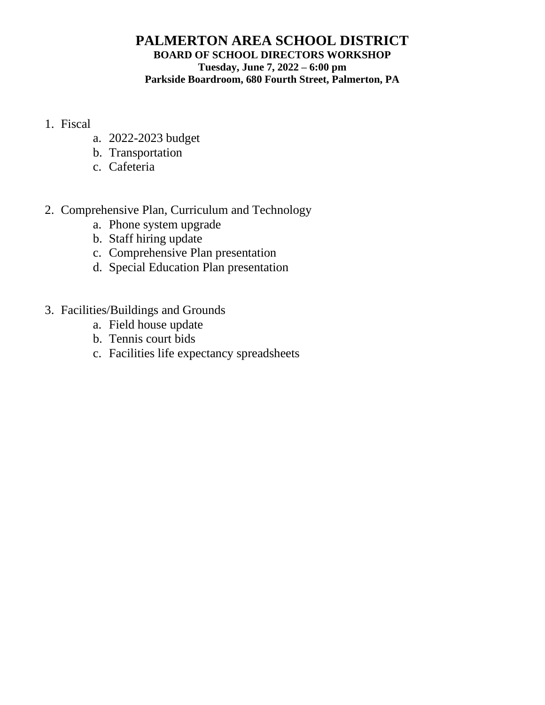## **PALMERTON AREA SCHOOL DISTRICT BOARD OF SCHOOL DIRECTORS WORKSHOP Tuesday, June 7, 2022 – 6:00 pm Parkside Boardroom, 680 Fourth Street, Palmerton, PA**

- 1. Fiscal
	- a. 2022-2023 budget
	- b. Transportation
	- c. Cafeteria
- 2. Comprehensive Plan, Curriculum and Technology
	- a. Phone system upgrade
	- b. Staff hiring update
	- c. Comprehensive Plan presentation
	- d. Special Education Plan presentation
- 3. Facilities/Buildings and Grounds
	- a. Field house update
	- b. Tennis court bids
	- c. Facilities life expectancy spreadsheets